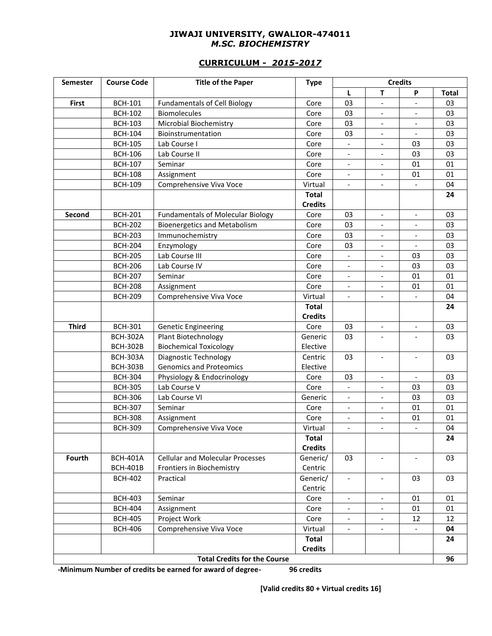#### **JIWAJI UNIVERSITY, GWALIOR-474011** *M.SC. BIOCHEMISTRY*

## **CURRICULUM -** *2015-2017*

| <b>Semester</b> | <b>Course Code</b> | <b>Title of the Paper</b>                | <b>Type</b>    | <b>Credits</b>           |                              |                          |              |
|-----------------|--------------------|------------------------------------------|----------------|--------------------------|------------------------------|--------------------------|--------------|
|                 |                    |                                          |                | L                        | T                            | P                        | <b>Total</b> |
| First           | <b>BCH-101</b>     | <b>Fundamentals of Cell Biology</b>      | Core           | 03                       | $\qquad \qquad \blacksquare$ |                          | 03           |
|                 | <b>BCH-102</b>     | <b>Biomolecules</b>                      | Core           | 03                       | $\qquad \qquad \blacksquare$ |                          | 03           |
|                 | <b>BCH-103</b>     | Microbial Biochemistry                   | Core           | 03                       | $\qquad \qquad -$            |                          | 03           |
|                 | <b>BCH-104</b>     | Bioinstrumentation                       | Core           | 03                       | $\qquad \qquad \blacksquare$ | $\overline{\phantom{a}}$ | 03           |
|                 | <b>BCH-105</b>     | Lab Course I                             | Core           | $\blacksquare$           | $\qquad \qquad -$            | 03                       | 03           |
|                 | <b>BCH-106</b>     | Lab Course II                            | Core           | $\overline{\phantom{a}}$ | $\overline{\phantom{a}}$     | 03                       | 03           |
|                 | <b>BCH-107</b>     | Seminar                                  | Core           | $\overline{\phantom{a}}$ | $\overline{\phantom{a}}$     | 01                       | 01           |
|                 | <b>BCH-108</b>     | Assignment                               | Core           |                          |                              | 01                       | 01           |
|                 | <b>BCH-109</b>     | Comprehensive Viva Voce                  | Virtual        |                          |                              |                          | 04           |
|                 |                    |                                          | <b>Total</b>   |                          |                              |                          | 24           |
|                 |                    |                                          | <b>Credits</b> |                          |                              |                          |              |
| Second          | <b>BCH-201</b>     | <b>Fundamentals of Molecular Biology</b> | Core           | 03                       | $\qquad \qquad \blacksquare$ | $\overline{\phantom{a}}$ | 03           |
|                 | <b>BCH-202</b>     | <b>Bioenergetics and Metabolism</b>      | Core           | 03                       | $\qquad \qquad -$            |                          | 03           |
|                 | <b>BCH-203</b>     | Immunochemistry                          | Core           | 03                       | $\qquad \qquad -$            | $\overline{\phantom{a}}$ | 03           |
|                 | <b>BCH-204</b>     | Enzymology                               | Core           | 03                       | $\overline{\phantom{a}}$     | $\blacksquare$           | 03           |
|                 | <b>BCH-205</b>     | Lab Course III                           | Core           | $\overline{\phantom{a}}$ | $\overline{\phantom{a}}$     | 03                       | 03           |
|                 | <b>BCH-206</b>     | Lab Course IV                            | Core           | $\overline{\phantom{a}}$ | $\overline{\phantom{0}}$     | 03                       | 03           |
|                 | <b>BCH-207</b>     | Seminar                                  | Core           | $\overline{\phantom{a}}$ |                              | 01                       | 01           |
|                 | <b>BCH-208</b>     | Assignment                               | Core           | $\overline{\phantom{a}}$ | $\overline{\phantom{a}}$     | 01                       | 01           |
|                 | <b>BCH-209</b>     | Comprehensive Viva Voce                  | Virtual        | $\overline{\phantom{a}}$ | $\overline{a}$               |                          | 04           |
|                 |                    |                                          | <b>Total</b>   |                          |                              |                          | 24           |
|                 |                    |                                          | <b>Credits</b> |                          |                              |                          |              |
| <b>Third</b>    | <b>BCH-301</b>     | <b>Genetic Engineering</b>               | Core           | 03                       | $\qquad \qquad -$            | $\overline{\phantom{a}}$ | 03           |
|                 | <b>BCH-302A</b>    | Plant Biotechnology                      | Generic        | 03                       | $\overline{\phantom{a}}$     | $\overline{\phantom{a}}$ | 03           |
|                 | <b>BCH-302B</b>    | <b>Biochemical Toxicology</b>            | Elective       |                          |                              |                          |              |
|                 | <b>BCH-303A</b>    | Diagnostic Technology                    | Centric        | 03                       | $\overline{\phantom{a}}$     | $\overline{\phantom{a}}$ | 03           |
|                 | <b>BCH-303B</b>    | <b>Genomics and Proteomics</b>           | Elective       |                          |                              |                          |              |
|                 | <b>BCH-304</b>     | Physiology & Endocrinology               | Core           | 03                       | $\blacksquare$               | $\overline{a}$           | 03           |
|                 | <b>BCH-305</b>     | Lab Course V                             | Core           | $\overline{\phantom{a}}$ |                              | 03                       | 03           |
|                 | <b>BCH-306</b>     | Lab Course VI                            | Generic        | $\overline{\phantom{a}}$ | $\overline{a}$               | 03                       | 03           |
|                 | <b>BCH-307</b>     | Seminar                                  | Core           | $\overline{\phantom{a}}$ | $\overline{a}$               | 01                       | 01           |
|                 | <b>BCH-308</b>     | Assignment                               | Core           | $\overline{\phantom{a}}$ | $\qquad \qquad \blacksquare$ | 01                       | 01           |
|                 | <b>BCH-309</b>     | Comprehensive Viva Voce                  | Virtual        | $\overline{\phantom{a}}$ | $\overline{\phantom{a}}$     | $\overline{\phantom{a}}$ | 04           |
|                 |                    |                                          | <b>Total</b>   |                          |                              |                          | 24           |
|                 |                    |                                          | <b>Credits</b> |                          |                              |                          |              |
| Fourth          | <b>BCH-401A</b>    | <b>Cellular and Molecular Processes</b>  | Generic/       | 03                       | $\overline{\phantom{a}}$     | $\overline{\phantom{a}}$ | 03           |
|                 | <b>BCH-401B</b>    | Frontiers in Biochemistry                | Centric        |                          |                              |                          |              |
|                 | <b>BCH-402</b>     | Practical                                | Generic/       | $\overline{\phantom{a}}$ |                              | 03                       | 03           |
|                 |                    |                                          | Centric        |                          |                              |                          |              |
|                 | <b>BCH-403</b>     | Seminar                                  | Core           | $\overline{\phantom{a}}$ | $\overline{\phantom{a}}$     | 01                       | 01           |
|                 | <b>BCH-404</b>     | Assignment                               | Core           |                          |                              | 01                       | 01           |
|                 | <b>BCH-405</b>     | Project Work                             | Core           | $\overline{\phantom{a}}$ | $\qquad \qquad \blacksquare$ | 12                       | 12           |
|                 | <b>BCH-406</b>     | Comprehensive Viva Voce                  | Virtual        | $\overline{\phantom{a}}$ | $\overline{\phantom{a}}$     |                          | 04           |
|                 |                    |                                          | <b>Total</b>   |                          |                              |                          | 24           |
|                 |                    |                                          | <b>Credits</b> |                          |                              |                          |              |
|                 |                    | <b>Total Credits for the Course</b>      |                |                          |                              |                          | 96           |

**-Minimum Number of credits be earned for award of degree- 96 credits** 

**[Valid credits 80 + Virtual credits 16]**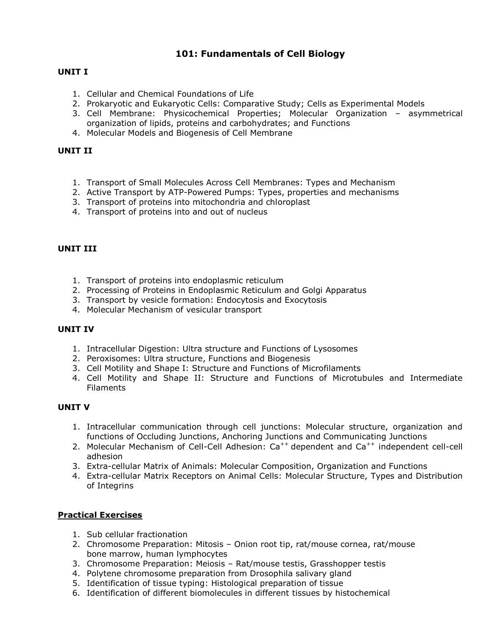## **101: Fundamentals of Cell Biology**

## **UNIT I**

- 1. Cellular and Chemical Foundations of Life
- 2. Prokaryotic and Eukaryotic Cells: Comparative Study; Cells as Experimental Models
- 3. Cell Membrane: Physicochemical Properties; Molecular Organization asymmetrical organization of lipids, proteins and carbohydrates; and Functions
- 4. Molecular Models and Biogenesis of Cell Membrane

### **UNIT II**

- 1. Transport of Small Molecules Across Cell Membranes: Types and Mechanism
- 2. Active Transport by ATP-Powered Pumps: Types, properties and mechanisms
- 3. Transport of proteins into mitochondria and chloroplast
- 4. Transport of proteins into and out of nucleus

#### **UNIT III**

- 1. Transport of proteins into endoplasmic reticulum
- 2. Processing of Proteins in Endoplasmic Reticulum and Golgi Apparatus
- 3. Transport by vesicle formation: Endocytosis and Exocytosis
- 4. Molecular Mechanism of vesicular transport

#### **UNIT IV**

- 1. Intracellular Digestion: Ultra structure and Functions of Lysosomes
- 2. Peroxisomes: Ultra structure, Functions and Biogenesis
- 3. Cell Motility and Shape I: Structure and Functions of Microfilaments
- 4. Cell Motility and Shape II: Structure and Functions of Microtubules and Intermediate Filaments

### **UNIT V**

- 1. Intracellular communication through cell junctions: Molecular structure, organization and functions of Occluding Junctions, Anchoring Junctions and Communicating Junctions
- 2. Molecular Mechanism of Cell-Cell Adhesion: Ca<sup>++</sup> dependent and Ca<sup>++</sup> independent cell-cell adhesion
- 3. Extra-cellular Matrix of Animals: Molecular Composition, Organization and Functions
- 4. Extra-cellular Matrix Receptors on Animal Cells: Molecular Structure, Types and Distribution of Integrins

- 1. Sub cellular fractionation
- 2. Chromosome Preparation: Mitosis Onion root tip, rat/mouse cornea, rat/mouse bone marrow, human lymphocytes
- 3. Chromosome Preparation: Meiosis Rat/mouse testis, Grasshopper testis
- 4. Polytene chromosome preparation from Drosophila salivary gland
- 5. Identification of tissue typing: Histological preparation of tissue
- 6. Identification of different biomolecules in different tissues by histochemical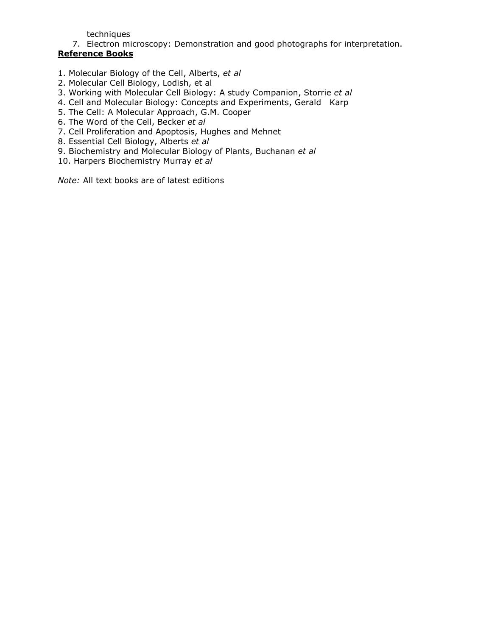techniques

7. Electron microscopy: Demonstration and good photographs for interpretation. **Reference Books**

- 1. Molecular Biology of the Cell, Alberts, *et al*
- 2. Molecular Cell Biology, Lodish, et al
- 3. Working with Molecular Cell Biology: A study Companion, Storrie *et al*
- 4. Cell and Molecular Biology: Concepts and Experiments, Gerald Karp
- 5. The Cell: A Molecular Approach, G.M. Cooper
- 6. The Word of the Cell, Becker *et al*
- 7. Cell Proliferation and Apoptosis, Hughes and Mehnet
- 8. Essential Cell Biology, Alberts *et al*
- 9. Biochemistry and Molecular Biology of Plants, Buchanan *et al*
- 10. Harpers Biochemistry Murray *et al*

*Note:* All text books are of latest editions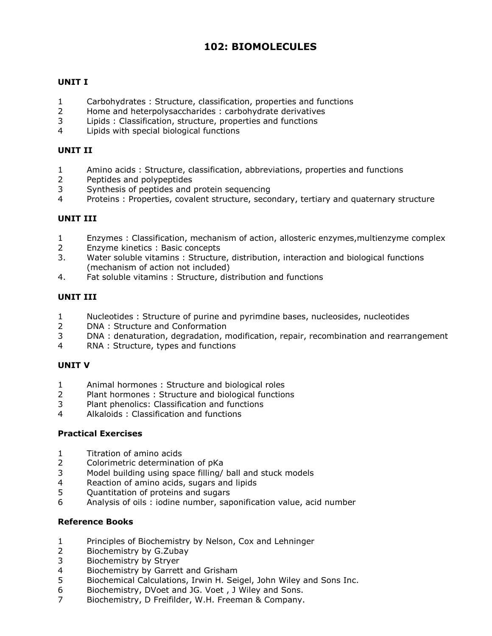# **102: BIOMOLECULES**

## **UNIT I**

- Carbohydrates : Structure, classification, properties and functions
- Home and heterpolysaccharides : carbohydrate derivatives
- Lipids : Classification, structure, properties and functions
- Lipids with special biological functions

### **UNIT II**

- Amino acids : Structure, classification, abbreviations, properties and functions
- Peptides and polypeptides
- Synthesis of peptides and protein sequencing
- Proteins : Properties, covalent structure, secondary, tertiary and quaternary structure

### **UNIT III**

- Enzymes : Classification, mechanism of action, allosteric enzymes,multienzyme complex
- Enzyme kinetics : Basic concepts
- 3. Water soluble vitamins : Structure, distribution, interaction and biological functions (mechanism of action not included)
- 4. Fat soluble vitamins : Structure, distribution and functions

### **UNIT III**

- Nucleotides : Structure of purine and pyrimdine bases, nucleosides, nucleotides
- DNA : Structure and Conformation
- DNA : denaturation, degradation, modification, repair, recombination and rearrangement
- RNA : Structure, types and functions

## **UNIT V**

- Animal hormones : Structure and biological roles
- Plant hormones : Structure and biological functions
- Plant phenolics: Classification and functions
- Alkaloids : Classification and functions

#### **Practical Exercises**

- Titration of amino acids
- Colorimetric determination of pKa
- Model building using space filling/ ball and stuck models
- Reaction of amino acids, sugars and lipids
- Quantitation of proteins and sugars
- Analysis of oils : iodine number, saponification value, acid number

#### **Reference Books**

- Principles of Biochemistry by Nelson, Cox and Lehninger
- Biochemistry by G.Zubay
- Biochemistry by Stryer
- Biochemistry by Garrett and Grisham
- Biochemical Calculations, Irwin H. Seigel, John Wiley and Sons Inc.
- Biochemistry, DVoet and JG. Voet , J Wiley and Sons.
- Biochemistry, D Freifilder, W.H. Freeman & Company.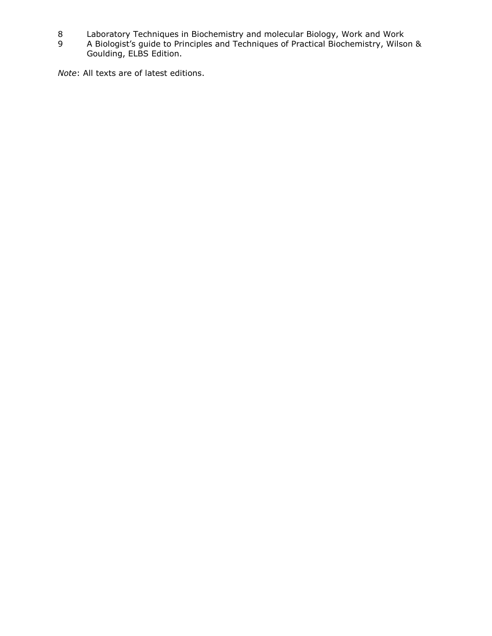- 8 Laboratory Techniques in Biochemistry and molecular Biology, Work and Work
- 9 A Biologist's guide to Principles and Techniques of Practical Biochemistry, Wilson & Goulding, ELBS Edition.

*Note*: All texts are of latest editions.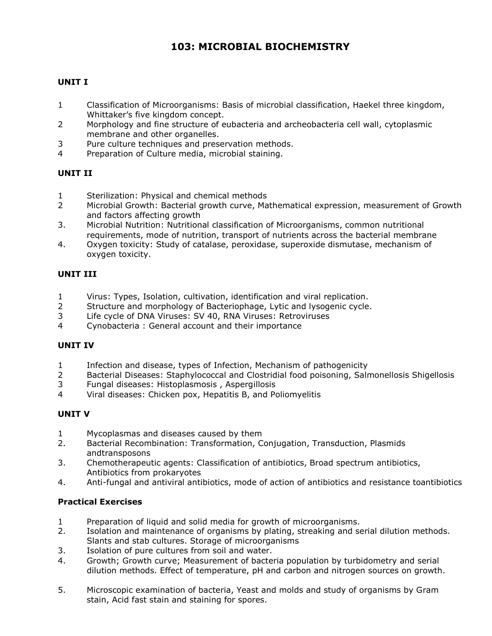# **103: MICROBIAL BIOCHEMISTRY**

## **UNIT I**

- 1 Classification of Microorganisms: Basis of microbial classification, Haekel three kingdom, Whittaker's five kingdom concept.
- 2 Morphology and fine structure of eubacteria and archeobacteria cell wall, cytoplasmic membrane and other organelles.
- 3 Pure culture techniques and preservation methods.
- 4 Preparation of Culture media, microbial staining.

### **UNIT II**

- 1 Sterilization: Physical and chemical methods
- 2 Microbial Growth: Bacterial growth curve, Mathematical expression, measurement of Growth and factors affecting growth
- 3. Microbial Nutrition: Nutritional classification of Microorganisms, common nutritional requirements, mode of nutrition, transport of nutrients across the bacterial membrane
- 4. Oxygen toxicity: Study of catalase, peroxidase, superoxide dismutase, mechanism of oxygen toxicity.

## **UNIT III**

- 1 Virus: Types, Isolation, cultivation, identification and viral replication.
- 2 Structure and morphology of Bacteriophage, Lytic and lysogenic cycle.
- 3 Life cycle of DNA Viruses: SV 40, RNA Viruses: Retroviruses
- 4 Cynobacteria : General account and their importance

#### **UNIT IV**

- 1 Infection and disease, types of Infection, Mechanism of pathogenicity
- 2 Bacterial Diseases: Staphylococcal and Clostridial food poisoning, Salmonellosis Shigellosis
- 3 Fungal diseases: Histoplasmosis , Aspergillosis
- 4 Viral diseases: Chicken pox, Hepatitis B, and Poliomyelitis

#### **UNIT V**

- 1 Mycoplasmas and diseases caused by them
- 2. Bacterial Recombination: Transformation, Conjugation, Transduction, Plasmids andtransposons
- 3. Chemotherapeutic agents: Classification of antibiotics, Broad spectrum antibiotics, Antibiotics from prokaryotes
- 4. Anti-fungal and antiviral antibiotics, mode of action of antibiotics and resistance toantibiotics

- 1 Preparation of liquid and solid media for growth of microorganisms.
- 2. Isolation and maintenance of organisms by plating, streaking and serial dilution methods. Slants and stab cultures. Storage of microorganisms
- 3. Isolation of pure cultures from soil and water.
- 4. Growth; Growth curve; Measurement of bacteria population by turbidometry and serial dilution methods. Effect of temperature, pH and carbon and nitrogen sources on growth.
- 5. Microscopic examination of bacteria, Yeast and molds and study of organisms by Gram stain, Acid fast stain and staining for spores.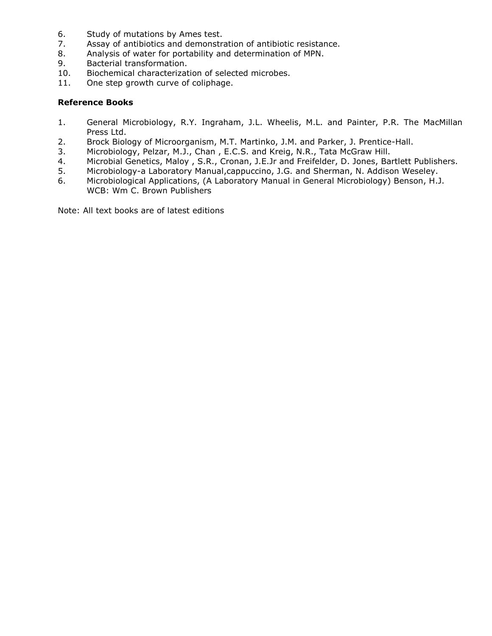- 6. Study of mutations by Ames test.
- 7. Assay of antibiotics and demonstration of antibiotic resistance.
- 8. Analysis of water for portability and determination of MPN.
- 9. Bacterial transformation.
- 10. Biochemical characterization of selected microbes.
- 11. One step growth curve of coliphage.

### **Reference Books**

- 1. General Microbiology, R.Y. Ingraham, J.L. Wheelis, M.L. and Painter, P.R. The MacMillan Press Ltd.
- 2. Brock Biology of Microorganism, M.T. Martinko, J.M. and Parker, J. Prentice-Hall.
- 3. Microbiology, Pelzar, M.J., Chan , E.C.S. and Kreig, N.R., Tata McGraw Hill.
- 4. Microbial Genetics, Maloy , S.R., Cronan, J.E.Jr and Freifelder, D. Jones, Bartlett Publishers.
- 5. Microbiology-a Laboratory Manual,cappuccino, J.G. and Sherman, N. Addison Weseley.
- 6. Microbiological Applications, (A Laboratory Manual in General Microbiology) Benson, H.J. WCB: Wm C. Brown Publishers

Note: All text books are of latest editions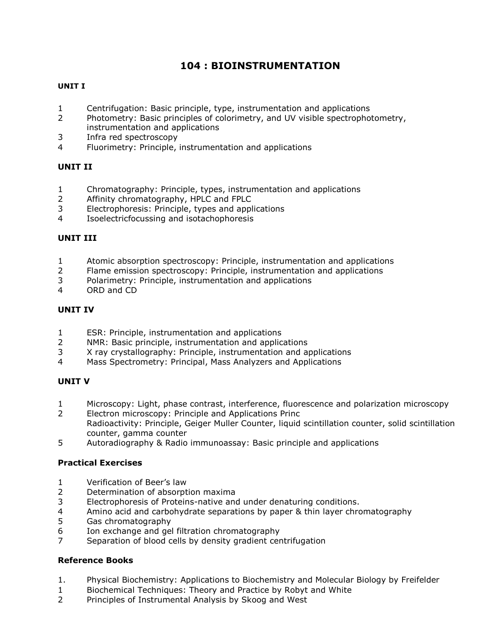# **104 : BIOINSTRUMENTATION**

## **UNIT I**

- Centrifugation: Basic principle, type, instrumentation and applications
- Photometry: Basic principles of colorimetry, and UV visible spectrophotometry, instrumentation and applications
- Infra red spectroscopy
- Fluorimetry: Principle, instrumentation and applications

### **UNIT II**

- Chromatography: Principle, types, instrumentation and applications
- Affinity chromatography, HPLC and FPLC
- Electrophoresis: Principle, types and applications
- Isoelectricfocussing and isotachophoresis

### **UNIT III**

- Atomic absorption spectroscopy: Principle, instrumentation and applications
- Flame emission spectroscopy: Principle, instrumentation and applications
- Polarimetry: Principle, instrumentation and applications
- ORD and CD

## **UNIT IV**

- ESR: Principle, instrumentation and applications
- NMR: Basic principle, instrumentation and applications
- X ray crystallography: Principle, instrumentation and applications
- Mass Spectrometry: Principal, Mass Analyzers and Applications

## **UNIT V**

- Microscopy: Light, phase contrast, interference, fluorescence and polarization microscopy
- Electron microscopy: Principle and Applications Princ Radioactivity: Principle, Geiger Muller Counter, liquid scintillation counter, solid scintillation counter, gamma counter
- Autoradiography & Radio immunoassay: Basic principle and applications

#### **Practical Exercises**

- Verification of Beer's law
- Determination of absorption maxima
- Electrophoresis of Proteins-native and under denaturing conditions.
- Amino acid and carbohydrate separations by paper & thin layer chromatography
- Gas chromatography
- Ion exchange and gel filtration chromatography
- Separation of blood cells by density gradient centrifugation

#### **Reference Books**

- 1. Physical Biochemistry: Applications to Biochemistry and Molecular Biology by Freifelder
- Biochemical Techniques: Theory and Practice by Robyt and White
- Principles of Instrumental Analysis by Skoog and West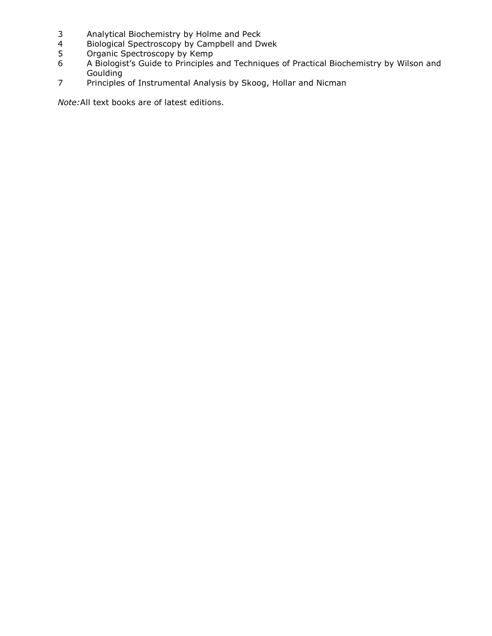- Analytical Biochemistry by Holme and Peck
- Biological Spectroscopy by Campbell and Dwek
- Organic Spectroscopy by Kemp
- A Biologist's Guide to Principles and Techniques of Practical Biochemistry by Wilson and **Goulding**
- Principles of Instrumental Analysis by Skoog, Hollar and Nicman

*Note:*All text books are of latest editions.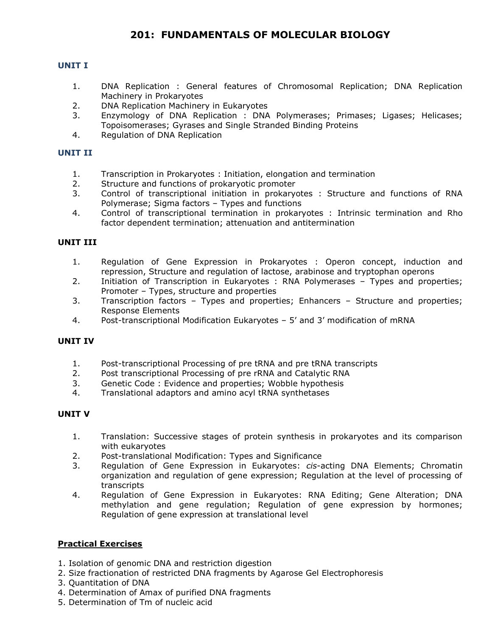## **201: FUNDAMENTALS OF MOLECULAR BIOLOGY**

#### **UNIT I**

- 1. DNA Replication : General features of Chromosomal Replication; DNA Replication Machinery in Prokaryotes
- 2. DNA Replication Machinery in Eukaryotes
- 3. Enzymology of DNA Replication : DNA Polymerases; Primases; Ligases; Helicases; Topoisomerases; Gyrases and Single Stranded Binding Proteins
- 4. Regulation of DNA Replication

### **UNIT II**

- 1. Transcription in Prokaryotes : Initiation, elongation and termination
- 2. Structure and functions of prokaryotic promoter
- 3. Control of transcriptional initiation in prokaryotes : Structure and functions of RNA Polymerase; Sigma factors – Types and functions
- 4. Control of transcriptional termination in prokaryotes : Intrinsic termination and Rho factor dependent termination; attenuation and antitermination

#### **UNIT III**

- 1. Regulation of Gene Expression in Prokaryotes : Operon concept, induction and repression, Structure and regulation of lactose, arabinose and tryptophan operons
- 2. Initiation of Transcription in Eukaryotes : RNA Polymerases Types and properties; Promoter – Types, structure and properties
- 3. Transcription factors Types and properties; Enhancers Structure and properties; Response Elements
- 4. Post-transcriptional Modification Eukaryotes 5' and 3' modification of mRNA

#### **UNIT IV**

- 1. Post-transcriptional Processing of pre tRNA and pre tRNA transcripts
- 2. Post transcriptional Processing of pre rRNA and Catalytic RNA
- 3. Genetic Code : Evidence and properties; Wobble hypothesis
- 4. Translational adaptors and amino acyl tRNA synthetases

#### **UNIT V**

- 1. Translation: Successive stages of protein synthesis in prokaryotes and its comparison with eukaryotes
- 2. Post-translational Modification: Types and Significance
- 3. Regulation of Gene Expression in Eukaryotes: *cis*-acting DNA Elements; Chromatin organization and regulation of gene expression; Regulation at the level of processing of transcripts
- 4. Regulation of Gene Expression in Eukaryotes: RNA Editing; Gene Alteration; DNA methylation and gene regulation; Regulation of gene expression by hormones; Regulation of gene expression at translational level

- 1. Isolation of genomic DNA and restriction digestion
- 2. Size fractionation of restricted DNA fragments by Agarose Gel Electrophoresis
- 3. Quantitation of DNA
- 4. Determination of Amax of purified DNA fragments
- 5. Determination of Tm of nucleic acid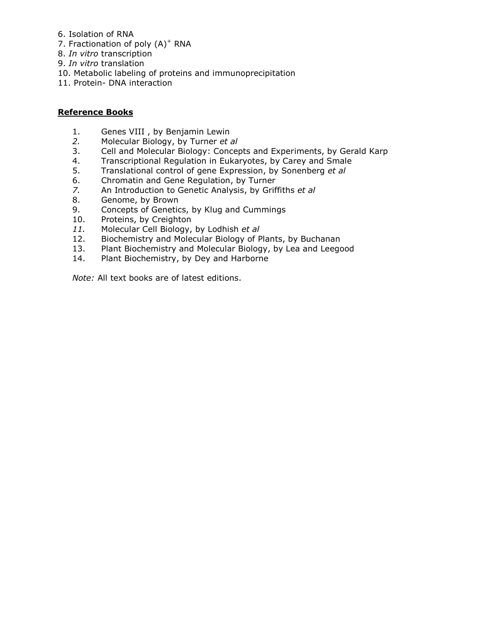- 6. Isolation of RNA
- 7. Fractionation of poly (A)<sup>+</sup> RNA
- 8. *In vitro* transcription
- 9. *In vitro* translation
- 10. Metabolic labeling of proteins and immunoprecipitation
- 11. Protein- DNA interaction

### **Reference Books**

- 1. Genes VIII , by Benjamin Lewin
- *2.* Molecular Biology, by Turner *et al*
- 3. Cell and Molecular Biology: Concepts and Experiments, by Gerald Karp
- 4. Transcriptional Regulation in Eukaryotes, by Carey and Smale
- 5. Translational control of gene Expression, by Sonenberg *et al*
- 6. Chromatin and Gene Regulation, by Turner
- *7.* An Introduction to Genetic Analysis, by Griffiths *et al*
- 8. Genome, by Brown
- 9. Concepts of Genetics, by Klug and Cummings
- 10. Proteins, by Creighton
- *11.* Molecular Cell Biology, by Lodhish *et al*
- 12. Biochemistry and Molecular Biology of Plants, by Buchanan
- 13. Plant Biochemistry and Molecular Biology, by Lea and Leegood
- 14. Plant Biochemistry, by Dey and Harborne

*Note:* All text books are of latest editions.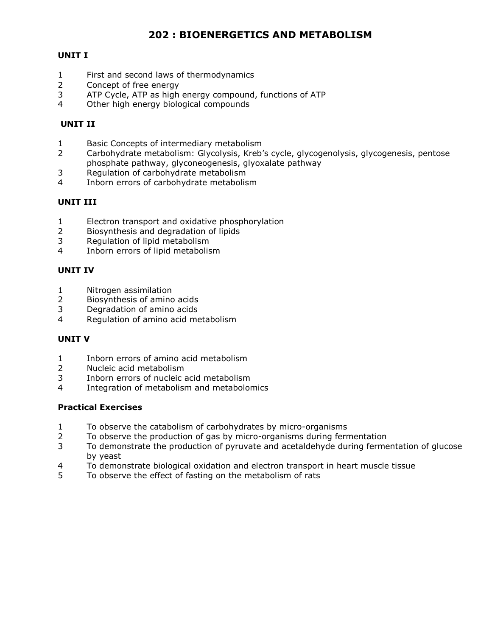## **202 : BIOENERGETICS AND METABOLISM**

## **UNIT I**

- First and second laws of thermodynamics
- Concept of free energy
- ATP Cycle, ATP as high energy compound, functions of ATP
- Other high energy biological compounds

## **UNIT II**

- Basic Concepts of intermediary metabolism
- Carbohydrate metabolism: Glycolysis, Kreb's cycle, glycogenolysis, glycogenesis, pentose phosphate pathway, glyconeogenesis, glyoxalate pathway
- Regulation of carbohydrate metabolism
- Inborn errors of carbohydrate metabolism

#### **UNIT III**

- Electron transport and oxidative phosphorylation
- Biosynthesis and degradation of lipids
- Regulation of lipid metabolism
- Inborn errors of lipid metabolism

## **UNIT IV**

- Nitrogen assimilation
- Biosynthesis of amino acids
- Degradation of amino acids
- Regulation of amino acid metabolism

#### **UNIT V**

- Inborn errors of amino acid metabolism
- Nucleic acid metabolism
- Inborn errors of nucleic acid metabolism
- Integration of metabolism and metabolomics

- To observe the catabolism of carbohydrates by micro-organisms
- To observe the production of gas by micro-organisms during fermentation
- To demonstrate the production of pyruvate and acetaldehyde during fermentation of glucose by yeast
- To demonstrate biological oxidation and electron transport in heart muscle tissue
- To observe the effect of fasting on the metabolism of rats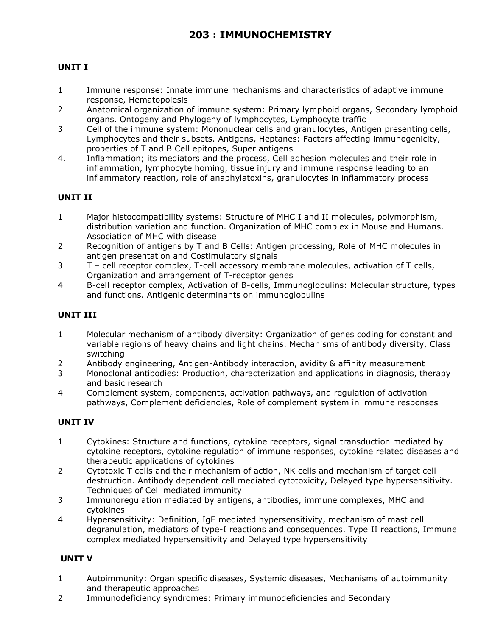## **UNIT I**

- 1 Immune response: Innate immune mechanisms and characteristics of adaptive immune response, Hematopoiesis
- 2 Anatomical organization of immune system: Primary lymphoid organs, Secondary lymphoid organs. Ontogeny and Phylogeny of lymphocytes, Lymphocyte traffic
- 3 Cell of the immune system: Mononuclear cells and granulocytes, Antigen presenting cells, Lymphocytes and their subsets. Antigens, Heptanes: Factors affecting immunogenicity, properties of T and B Cell epitopes, Super antigens
- 4. Inflammation; its mediators and the process, Cell adhesion molecules and their role in inflammation, lymphocyte homing, tissue injury and immune response leading to an inflammatory reaction, role of anaphylatoxins, granulocytes in inflammatory process

## **UNIT II**

- 1 Major histocompatibility systems: Structure of MHC I and II molecules, polymorphism, distribution variation and function. Organization of MHC complex in Mouse and Humans. Association of MHC with disease
- 2 Recognition of antigens by T and B Cells: Antigen processing, Role of MHC molecules in antigen presentation and Costimulatory signals
- 3 T cell receptor complex, T-cell accessory membrane molecules, activation of T cells, Organization and arrangement of T-receptor genes
- 4 B-cell receptor complex, Activation of B-cells, Immunoglobulins: Molecular structure, types and functions. Antigenic determinants on immunoglobulins

## **UNIT III**

- 1 Molecular mechanism of antibody diversity: Organization of genes coding for constant and variable regions of heavy chains and light chains. Mechanisms of antibody diversity, Class switching
- 2 Antibody engineering, Antigen-Antibody interaction, avidity & affinity measurement
- 3 Monoclonal antibodies: Production, characterization and applications in diagnosis, therapy and basic research
- 4 Complement system, components, activation pathways, and regulation of activation pathways, Complement deficiencies, Role of complement system in immune responses

## **UNIT IV**

- 1 Cytokines: Structure and functions, cytokine receptors, signal transduction mediated by cytokine receptors, cytokine regulation of immune responses, cytokine related diseases and therapeutic applications of cytokines
- 2 Cytotoxic T cells and their mechanism of action, NK cells and mechanism of target cell destruction. Antibody dependent cell mediated cytotoxicity, Delayed type hypersensitivity. Techniques of Cell mediated immunity
- 3 Immunoregulation mediated by antigens, antibodies, immune complexes, MHC and cytokines
- 4 Hypersensitivity: Definition, IgE mediated hypersensitivity, mechanism of mast cell degranulation, mediators of type-I reactions and consequences. Type II reactions, Immune complex mediated hypersensitivity and Delayed type hypersensitivity

## **UNIT V**

- 1 Autoimmunity: Organ specific diseases, Systemic diseases, Mechanisms of autoimmunity and therapeutic approaches
- 2 Immunodeficiency syndromes: Primary immunodeficiencies and Secondary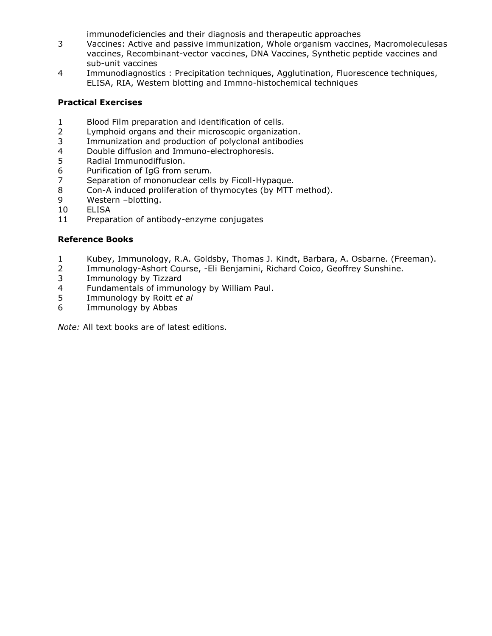immunodeficiencies and their diagnosis and therapeutic approaches

- Vaccines: Active and passive immunization, Whole organism vaccines, Macromoleculesas vaccines, Recombinant-vector vaccines, DNA Vaccines, Synthetic peptide vaccines and sub-unit vaccines
- Immunodiagnostics : Precipitation techniques, Agglutination, Fluorescence techniques, ELISA, RIA, Western blotting and Immno-histochemical techniques

## **Practical Exercises**

- Blood Film preparation and identification of cells.
- Lymphoid organs and their microscopic organization.
- Immunization and production of polyclonal antibodies
- 4 Double diffusion and Immuno-electrophoresis.<br>5 Radial Immunodiffusion.
- Radial Immunodiffusion.
- Purification of IgG from serum.
- Separation of mononuclear cells by Ficoll-Hypaque.
- Con-A induced proliferation of thymocytes (by MTT method).
- Western –blotting.
- ELISA
- Preparation of antibody-enzyme conjugates

#### **Reference Books**

- Kubey, Immunology, R.A. Goldsby, Thomas J. Kindt, Barbara, A. Osbarne. (Freeman).
- Immunology-Ashort Course, -Eli Benjamini, Richard Coico, Geoffrey Sunshine.
- Immunology by Tizzard
- Fundamentals of immunology by William Paul.
- Immunology by Roitt *et al*
- Immunology by Abbas

*Note:* All text books are of latest editions.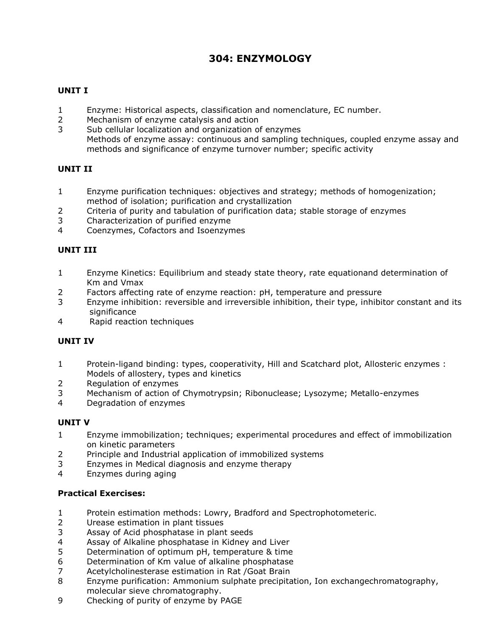# **304: ENZYMOLOGY**

## **UNIT I**

- Enzyme: Historical aspects, classification and nomenclature, EC number.
- Mechanism of enzyme catalysis and action
- Sub cellular localization and organization of enzymes Methods of enzyme assay: continuous and sampling techniques, coupled enzyme assay and methods and significance of enzyme turnover number; specific activity

### **UNIT II**

- Enzyme purification techniques: objectives and strategy; methods of homogenization; method of isolation; purification and crystallization
- Criteria of purity and tabulation of purification data; stable storage of enzymes
- Characterization of purified enzyme
- Coenzymes, Cofactors and Isoenzymes

## **UNIT III**

- Enzyme Kinetics: Equilibrium and steady state theory, rate equationand determination of Km and Vmax
- Factors affecting rate of enzyme reaction: pH, temperature and pressure
- Enzyme inhibition: reversible and irreversible inhibition, their type, inhibitor constant and its significance
- Rapid reaction techniques

#### **UNIT IV**

- Protein-ligand binding: types, cooperativity, Hill and Scatchard plot, Allosteric enzymes : Models of allostery, types and kinetics
- Regulation of enzymes
- Mechanism of action of Chymotrypsin; Ribonuclease; Lysozyme; Metallo-enzymes
- Degradation of enzymes

#### **UNIT V**

- Enzyme immobilization; techniques; experimental procedures and effect of immobilization on kinetic parameters
- Principle and Industrial application of immobilized systems
- Enzymes in Medical diagnosis and enzyme therapy
- Enzymes during aging

- Protein estimation methods: Lowry, Bradford and Spectrophotometeric.
- Urease estimation in plant tissues
- Assay of Acid phosphatase in plant seeds
- Assay of Alkaline phosphatase in Kidney and Liver
- Determination of optimum pH, temperature & time
- Determination of Km value of alkaline phosphatase
- Acetylcholinesterase estimation in Rat /Goat Brain
- Enzyme purification: Ammonium sulphate precipitation, Ion exchangechromatography, molecular sieve chromatography.
- Checking of purity of enzyme by PAGE